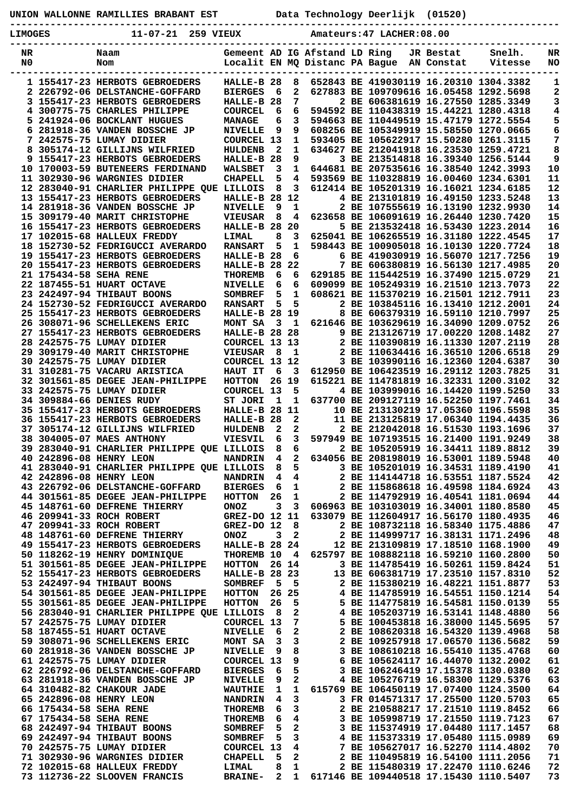| UNION WALLONNE RAMILLIES BRABANT EST |  |  |  |
|--------------------------------------|--|--|--|
|--------------------------------------|--|--|--|

**UNION WALLONNE RAMILLIES BRABANT EST Data Technology Deerlijk (01520)**

**LIMOGES 11-07-21 259 VIEUX Amateurs:47 LACHER:08.00**

**-----------------------------------------------------------------------------------------------**

| NR |                        | Naam                                       | Gemeent AD IG Afstand LD Ring |                |              |                                |                                        | JR Bestat  | Snelh.  | NR |
|----|------------------------|--------------------------------------------|-------------------------------|----------------|--------------|--------------------------------|----------------------------------------|------------|---------|----|
| N0 |                        | Nom                                        |                               |                |              | Localit EN MQ Distanc PA Bague |                                        | AN Constat | Vitesse | NO |
|    |                        |                                            |                               |                |              |                                |                                        |            |         |    |
|    |                        | 1 155417-23 HERBOTS GEBROEDERS             | HALLE-B 28                    |                | 8            |                                | 652843 BE 419030119 16.20310 1304.3382 |            |         | 1  |
|    |                        | 2 226792-06 DELSTANCHE-GOFFARD             | <b>BIERGES</b>                | 6              | 2            |                                | 627883 BE 109709616 16.05458 1292.5698 |            |         | 2  |
|    |                        | 3 155417-23 HERBOTS GEBROEDERS             | HALLE-B 28                    |                | 7            |                                | 2 BE 606381619 16.27550 1285.3349      |            |         | 3  |
|    |                        | 4 300775-75 CHARLES PHILIPPE               | <b>COURCEL</b>                | 6              | 6            |                                | 594592 BE 110438319 15.44221 1280.4318 |            |         | 4  |
|    |                        | 5 241924-06 BOCKLANT HUGUES                | <b>MANAGE</b>                 | 6              | 3            |                                | 594663 BE 110449519 15.47179 1272.5554 |            |         | 5  |
|    |                        | 6 281918-36 VANDEN BOSSCHE JP              | <b>NIVELLE</b>                | 9              | 9            |                                | 608256 BE 105349919 15.58550 1270.0665 |            |         | 6  |
|    |                        | 7 242575-75 LUMAY DIDIER                   | <b>COURCEL 13</b>             |                | 1            |                                | 593405 BE 105622917 15.50280 1261.3115 |            |         | 7  |
|    |                        | 8 305174-12 GILLIJNS WILFRIED              | <b>HULDENB</b>                | 2              | 1            |                                | 634627 BE 212041918 16.23530 1259.4721 |            |         | 8  |
|    |                        | 9 155417-23 HERBOTS GEBROEDERS             | HALLE-B 28                    |                | 9            |                                | 3 BE 213514818 16.39340 1256.5144      |            |         | 9  |
|    |                        | 10 170003-59 BUTENEERS FERDINAND           | <b>WALSBET</b>                | 3              | 1            |                                | 644681 BE 207535616 16.38540 1242.3993 |            |         | 10 |
|    |                        | 11 302930-96 WARGNIES DIDIER               | <b>CHAPELL</b>                | 5              | 4            |                                | 593569 BE 110328819 16.00460 1234.6301 |            |         | 11 |
|    |                        | 12 283040-91 CHARLIER PHILIPPE QUE LILLOIS |                               | 8              | 3            |                                | 612414 BE 105201319 16.16021 1234.6185 |            |         | 12 |
|    |                        | 13 155417-23 HERBOTS GEBROEDERS            | HALLE-B 28                    |                | 12           |                                | 4 BE 213101819 16.49150 1233.5248      |            |         | 13 |
|    |                        | 14 281918-36 VANDEN BOSSCHE JP             | <b>NIVELLE</b>                | 9              | 1            |                                | 2 BE 107555619 16.13190 1232.9930      |            |         | 14 |
|    |                        | 15 309179-40 MARIT CHRISTOPHE              |                               | 8              | 4            |                                | 623658 BE 106091619 16.26440 1230.7420 |            |         | 15 |
|    |                        |                                            | <b>VIEUSAR</b>                |                |              |                                |                                        |            |         |    |
|    |                        | 16 155417-23 HERBOTS GEBROEDERS            | HALLE-B 28                    |                | 20           |                                | 5 BE 213532418 16.53430 1223.2014      |            |         | 16 |
|    |                        | 17 102015-68 HALLEUX FREDDY                | <b>LIMAL</b>                  | 8              | 3            |                                | 625041 BE 106265519 16.31180 1222.4545 |            |         | 17 |
|    |                        | 18 152730-52 FEDRIGUCCI AVERARDO           | <b>RANSART</b>                | 5              | $\mathbf 1$  |                                | 598443 BE 100905018 16.10130 1220.7724 |            |         | 18 |
|    |                        | 19 155417-23 HERBOTS GEBROEDERS            | HALLE-B 28                    |                | 6            |                                | 6 BE 419030919 16.56070 1217.7256      |            |         | 19 |
|    |                        | 20 155417-23 HERBOTS GEBROEDERS            | HALLE-B 28                    |                | 22           |                                | 7 BE 606380819 16.56130 1217.4985      |            |         | 20 |
|    | 21 175434-58 SEHA RENE |                                            | <b>THOREMB</b>                | 6              | 6            |                                | 629185 BE 115442519 16.37490 1215.0729 |            |         | 21 |
|    |                        | 22 187455-51 HUART OCTAVE                  | <b>NIVELLE</b>                | 6              | 6            |                                | 609099 BE 105249319 16.21510 1213.7073 |            |         | 22 |
|    |                        | 23 242497-94 THIBAUT BOONS                 | <b>SOMBREF</b>                | 5              | 1            |                                | 608621 BE 115370219 16.21501 1212.7911 |            |         | 23 |
|    |                        | 24 152730-52 FEDRIGUCCI AVERARDO           | <b>RANSART</b>                | 5              | 5            |                                | 2 BE 103845116 16.13410 1212.2001      |            |         | 24 |
|    |                        | 25 155417-23 HERBOTS GEBROEDERS            | HALLE-B 28 19                 |                |              |                                | 8 BE 606379319 16.59110 1210.7997      |            |         | 25 |
|    |                        | 26 308071-96 SCHELLEKENS ERIC              | MONT SA                       | 3              | - 1          |                                | 621646 BE 103629619 16.34090 1209.0752 |            |         | 26 |
|    |                        | 27 155417-23 HERBOTS GEBROEDERS            | HALLE-B 28                    |                | -28          |                                | 9 BE 213126719 17.00220 1208.1482      |            |         | 27 |
|    |                        | 28 242575-75 LUMAY DIDIER                  | COURCEL 13 13                 |                |              |                                | 2 BE 110390819 16.11330 1207.2119      |            |         | 28 |
|    |                        | 29 309179-40 MARIT CHRISTOPHE              | <b>VIEUSAR</b>                | 8              | 1            |                                | 2 BE 110634416 16.36510 1206.6518      |            |         | 29 |
|    |                        | 30 242575-75 LUMAY DIDIER                  | COURCEL 13 12                 |                |              |                                | 3 BE 103990116 16.12360 1204.6387      |            |         | 30 |
|    |                        | 31 310281-75 VACARU ARISTICA               | HAUT IT                       | 6              | 3            |                                | 612950 BE 106423519 16.29112 1203.7825 |            |         | 31 |
|    |                        | 32 301561-85 DEGEE JEAN-PHILIPPE           | <b>HOTTON</b>                 |                | 26 19        |                                | 615221 BE 114781819 16.32331 1200.3102 |            |         | 32 |
|    |                        | 33 242575-75 LUMAY DIDIER                  | <b>COURCEL 13</b>             |                | 5            |                                | 4 BE 103999016 16.14420 1199.5250      |            |         | 33 |
|    |                        | 34 309884-66 DENIES RUDY                   | ST JORI                       | 1              | 1            |                                | 637700 BE 209127119 16.52250 1197.7461 |            |         | 34 |
|    |                        | 35 155417-23 HERBOTS GEBROEDERS            | HALLE-B 28                    |                | 11           |                                | 10 BE 213130219 17.05360 1196.5598     |            |         | 35 |
|    |                        | 36 155417-23 HERBOTS GEBROEDERS            | HALLE-B 28                    |                | 2            |                                | 11 BE 213125819 17.06340 1194.4435     |            |         | 36 |
|    |                        | 37 305174-12 GILLIJNS WILFRIED             | HULDENB                       | $\mathbf{2}$   | $\mathbf{2}$ |                                | 2 BE 212042018 16.51530 1193.1696      |            |         | 37 |
|    |                        | 38 304005-07 MAES ANTHONY                  | <b>VIESVIL</b>                | 6              | 3            |                                | 597949 BE 107193515 16.21400 1191.9249 |            |         | 38 |
|    |                        | 39 283040-91 CHARLIER PHILIPPE QUE LILLOIS |                               | 8              | 6            |                                | 2 BE 105205919 16.34411 1189.8812      |            |         | 39 |
|    |                        | 40 242896-08 HENRY LEON                    | <b>NANDRIN</b>                | 4              | $\mathbf{2}$ |                                | 634056 BE 208198019 16.53001 1189.5948 |            |         | 40 |
|    |                        | 41 283040-91 CHARLIER PHILIPPE QUE LILLOIS |                               | 8              | 5            |                                | 3 BE 105201019 16.34531 1189.4190      |            |         | 41 |
|    |                        | 42 242896-08 HENRY LEON                    | <b>NANDRIN</b>                | $\overline{4}$ | 4            |                                | 2 BE 114144718 16.53551 1187.5524      |            |         | 42 |
|    |                        | 43 226792-06 DELSTANCHE-GOFFARD            | <b>BIERGES</b>                | - 6            | 1            |                                | 2 BE 115868618 16.49598 1184.6924      |            |         | 43 |
|    |                        | 44 301561-85 DEGEE JEAN-PHILIPPE           | <b>HOTTON</b>                 | 26             | 1            |                                | 2 BE 114792919 16.40541 1181.0694      |            |         | 44 |
|    |                        | 45 148761-60 DEFRENE THIERRY               | <b>ONOZ</b>                   | 3              | 3            |                                | 606963 BE 103103019 16.34001 1180.8580 |            |         | 45 |
|    |                        | 46 209941-33 ROCH ROBERT                   | GREZ-DO 12 11                 |                |              |                                | 633079 BE 112604917 16.56170 1180.4935 |            |         | 46 |
|    |                        | 47 209941-33 ROCH ROBERT                   | GREZ-DO 12                    |                | 8            |                                | 2 BE 108732118 16.58340 1175.4886      |            |         | 47 |
|    |                        | 48 148761-60 DEFRENE THIERRY               | <b>ONOZ</b>                   | 3              | 2            |                                | 2 BE 114999717 16.38131 1171.2496      |            |         | 48 |
|    |                        | 49 155417-23 HERBOTS GEBROEDERS            | <b>HALLE-B 28 24</b>          |                |              |                                | 12 BE 213109819 17.18510 1168.1900     |            |         | 49 |
|    |                        | 50 118262-19 HENRY DOMINIQUE               | THOREMB 10                    |                | 4            |                                | 625797 BE 108882118 16.59210 1160.2800 |            |         | 50 |
|    |                        | 51 301561-85 DEGEE JEAN-PHILIPPE           | HOTTON                        |                | 26 14        |                                | 3 BE 114785419 16.50261 1159.8424      |            |         | 51 |
|    |                        | 52 155417-23 HERBOTS GEBROEDERS            | HALLE-B 28 23                 |                |              |                                | 13 BE 606381719 17.23510 1157.8310     |            |         | 52 |
|    |                        | 53 242497-94 THIBAUT BOONS                 | <b>SOMBREF</b>                | 5              | 5            |                                | 2 BE 115380219 16.48221 1151.8877      |            |         | 53 |
|    |                        | 54 301561-85 DEGEE JEAN-PHILIPPE           | HOTTON                        |                | 26 25        |                                | 4 BE 114785919 16.54551 1150.1214      |            |         | 54 |
|    |                        | 55 301561-85 DEGEE JEAN-PHILIPPE           | <b>HOTTON</b>                 | 26             | 5            |                                | 5 BE 114775819 16.54581 1150.0139      |            |         | 55 |
|    |                        | 56 283040-91 CHARLIER PHILIPPE QUE LILLOIS |                               | 8              | 2            |                                | 4 BE 105203719 16.53141 1148.4880      |            |         | 56 |
|    |                        | 57 242575-75 LUMAY DIDIER                  | COURCEL 13                    |                | 7            |                                | 5 BE 100453818 16.38000 1145.5695      |            |         | 57 |
|    |                        | 58 187455-51 HUART OCTAVE                  | <b>NIVELLE</b>                | 6              | 2            |                                | 2 BE 108620318 16.54320 1139.4968      |            |         | 58 |
|    |                        | 59 308071-96 SCHELLEKENS ERIC              | MONT SA                       | 3              | 3            |                                | 2 BE 109257918 17.06570 1136.5682      |            |         | 59 |
|    |                        | 60 281918-36 VANDEN BOSSCHE JP             | <b>NIVELLE</b>                | 9              | 8            |                                | 3 BE 108610218 16.55410 1135.4768      |            |         | 60 |
|    |                        | 61 242575-75 LUMAY DIDIER                  | COURCEL 13                    |                | 9            |                                | 6 BE 105624117 16.44070 1132.2002      |            |         | 61 |
|    |                        | 62 226792-06 DELSTANCHE-GOFFARD            | <b>BIERGES</b>                | 6              | 5            |                                | 3 BE 106246419 17.15378 1130.0380      |            |         | 62 |
|    |                        | 63 281918-36 VANDEN BOSSCHE JP             | <b>NIVELLE</b>                | 9              | 2            |                                | 4 BE 105276719 16.58300 1129.5376      |            |         | 63 |
|    |                        | 64 310482-82 CHAKOUR JADE                  | <b>WAUTHIE</b>                | 1              | 1            |                                | 615769 BE 106450119 17.07400 1124.3500 |            |         | 64 |
|    |                        | 65 242896-08 HENRY LEON                    | <b>NANDRIN</b>                | 4              | 3            |                                | 3 FR 014571317 17.25500 1120.5703      |            |         | 65 |
|    | 66 175434-58 SEHA RENE |                                            | <b>THOREMB</b>                | 6              | 3            |                                | 2 BE 210588217 17.21510 1119.8452      |            |         | 66 |
|    | 67 175434-58 SEHA RENE |                                            | <b>THOREMB</b>                | 6              | 4            |                                | 3 BE 105998719 17.21550 1119.7123      |            |         | 67 |
|    |                        | 68 242497-94 THIBAUT BOONS                 | <b>SOMBREF</b>                | 5              | 2            |                                | 3 BE 115374919 17.04480 1117.1457      |            |         | 68 |
|    |                        | 69 242497-94 THIBAUT BOONS                 | <b>SOMBREF</b>                | 5              | 3            |                                | 4 BE 115373319 17.05480 1115.0989      |            |         | 69 |
|    |                        | 70 242575-75 LUMAY DIDIER                  | COURCEL 13                    |                | 4            |                                | 7 BE 105627017 16.52270 1114.4802      |            |         | 70 |
|    |                        | 71 302930-96 WARGNIES DIDIER               | <b>CHAPELL</b>                | 5              | 2            |                                | 2 BE 110495819 16.54100 1111.2056      |            |         | 71 |
|    |                        | 72 102015-68 HALLEUX FREDDY                | LIMAL                         | 8              | 1            |                                | 2 BE 115480319 17.22470 1110.6246      |            |         | 72 |
|    |                        | 73 112736-22 SLOOVEN FRANCIS               | <b>BRAINE-</b>                | $\overline{2}$ | 1            |                                | 617146 BE 109440518 17.15430 1110.5407 |            |         | 73 |
|    |                        |                                            |                               |                |              |                                |                                        |            |         |    |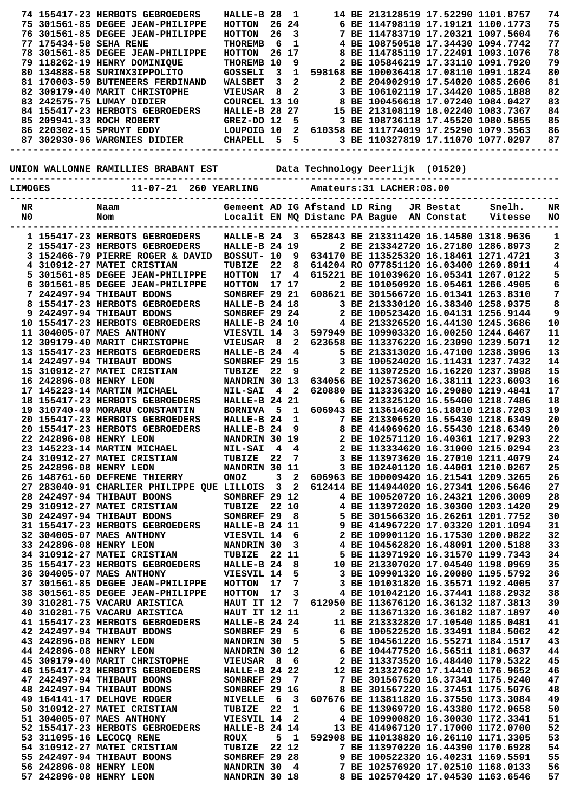|                        | 74 155417-23 HERBOTS GEBROEDERS  | HALLE-B 28           |       |    |  | 14 BE 213128519 17.52290 1101.8757     |  | 74 |
|------------------------|----------------------------------|----------------------|-------|----|--|----------------------------------------|--|----|
|                        | 75 301561-85 DEGEE JEAN-PHILIPPE | HOTTON               | 26 24 |    |  | 6 BE 114798119 17.19121 1100.1773      |  | 75 |
|                        | 76 301561-85 DEGEE JEAN-PHILIPPE | HOTTON               | 26    | -3 |  | 7 BE 114783719 17.20321 1097.5604      |  | 76 |
| 77 175434-58 SEHA RENE |                                  | THOREMB              | 6.    |    |  | 4 BE 108750518 17.34430 1094.7742      |  | 77 |
|                        | 78 301561-85 DEGEE JEAN-PHILIPPE | HOTTON               | 26 17 |    |  | 8 BE 114785119 17.22491 1093.1076      |  | 78 |
|                        | 79 118262-19 HENRY DOMINIOUE     | THOREMB              | 10    | 9  |  | 2 BE 105846219 17.33110 1091.7920      |  | 79 |
|                        | 80 134888-58 SURINX3IPPOLITO     | GOSSELI              | З.    |    |  | 598168 BE 100036418 17.08110 1091.1824 |  | 80 |
|                        | 81 170003-59 BUTENEERS FERDINAND | WALSBET              | 3.    | -2 |  | 2 BE 204902919 17.54020 1085.2606      |  | 81 |
|                        | 82 309179-40 MARIT CHRISTOPHE    | VIEUSAR              | 8     | -2 |  | 3 BE 106102119 17.34420 1085.1888      |  | 82 |
|                        | 83 242575-75 LUMAY DIDIER        | COURCEL 13 10        |       |    |  | 8 BE 100456618 17.07240 1084.0427      |  | 83 |
|                        | 84 155417-23 HERBOTS GEBROEDERS  | <b>HALLE-B 28 27</b> |       |    |  | 15 BE 213108119 18.02240 1083.7367     |  | 84 |
|                        | 85 209941-33 ROCH ROBERT         | GREZ-DO 12           |       | -5 |  | 3 BE 108736118 17.45520 1080.5855      |  | 85 |
|                        | 86 220302-15 SPRUYT EDDY         | LOUPOIG 10           |       | 2  |  | 610358 BE 111774019 17.25290 1079.3563 |  | 86 |
|                        | 87 302930-96 WARGNIES DIDIER     | CHAPELL              | 5.    | 5  |  | 3 BE 110327819 17.11070 1077.0297      |  | 87 |
|                        |                                  |                      |       |    |  |                                        |  |    |

## **UNION WALLONNE RAMILLIES BRABANT EST Data Technology Deerlijk (01520)**

| $11 - 07 - 21$<br>260 YEARLING<br>Amateurs: 31 LACHER: 08.00<br><b>LIMOGES</b> |  |                                                              |                                |                 |                         |                                                                 |  |  |                         |                                                                             |          |
|--------------------------------------------------------------------------------|--|--------------------------------------------------------------|--------------------------------|-----------------|-------------------------|-----------------------------------------------------------------|--|--|-------------------------|-----------------------------------------------------------------------------|----------|
|                                                                                |  |                                                              |                                |                 |                         |                                                                 |  |  |                         |                                                                             |          |
| NR<br>N0                                                                       |  | Naam<br>Nom                                                  |                                |                 |                         | Gemeent AD IG Afstand LD Ring<br>Localit EN MQ Distanc PA Bague |  |  | JR Bestat<br>AN Constat | Snelh.<br>Vitesse                                                           | NR<br>NO |
|                                                                                |  |                                                              |                                |                 |                         |                                                                 |  |  |                         |                                                                             |          |
|                                                                                |  | 1 155417-23 HERBOTS GEBROEDERS                               | HALLE-B 24                     |                 | - 3                     |                                                                 |  |  |                         | 652843 BE 213311420 16.14580 1318.9636                                      | 1        |
|                                                                                |  | 2 155417-23 HERBOTS GEBROEDERS                               | <b>HALLE-B 24 19</b>           |                 |                         |                                                                 |  |  |                         | 2 BE 213342720 16.27180 1286.8973                                           | 2        |
|                                                                                |  | 3 152466-79 PIERRE ROGER & DAVID                             | BOSSUT- 10                     |                 | 9                       |                                                                 |  |  |                         | 634170 BE 113525320 16.18461 1271.4721                                      | 3        |
|                                                                                |  | 4 310912-27 MATEI CRISTIAN                                   | TUBIZE                         | 22              | 8                       |                                                                 |  |  |                         | 614204 RO 077851120 16.03400 1269.8911                                      | 4        |
| 5                                                                              |  | 301561-85 DEGEE JEAN-PHILIPPE                                | <b>HOTTON</b>                  | 17              | 4                       |                                                                 |  |  |                         | 615221 BE 101039620 16.05341 1267.0122                                      | 5        |
| 6                                                                              |  | 301561-85 DEGEE JEAN-PHILIPPE                                | <b>HOTTON</b>                  |                 | 17 17                   |                                                                 |  |  |                         | 2 BE 101050920 16.05461 1266.4905                                           | 6        |
|                                                                                |  | 7 242497-94 THIBAUT BOONS<br>155417-23 HERBOTS GEBROEDERS    | SOMBREF 29 21<br>HALLE-B 24 18 |                 |                         |                                                                 |  |  |                         | 608621 BE 301566720 16.01341 1263.8310<br>3 BE 213330120 16.38340 1258.9375 | 7<br>8   |
| 8                                                                              |  | 9 242497-94 THIBAUT BOONS                                    | SOMBREF 29 24                  |                 |                         |                                                                 |  |  |                         | 2 BE 100523420 16.04131 1256.9144                                           | 9        |
|                                                                                |  | <b>10 155417-23 HERBOTS GEBROEDERS</b>                       | <b>HALLE-B 24 10</b>           |                 |                         |                                                                 |  |  |                         | 4 BE 213326520 16.44130 1245.3686                                           | 10       |
|                                                                                |  | 11 304005-07 MAES ANTHONY                                    | VIESVIL 14                     |                 | 3                       |                                                                 |  |  |                         | 597949 BE 109903320 16.00250 1244.6467                                      | 11       |
|                                                                                |  | 12 309179-40 MARIT CHRISTOPHE                                | <b>VIEUSAR</b>                 | 8               | 2                       |                                                                 |  |  |                         | 623658 BE 113376220 16.23090 1239.5071                                      | 12       |
|                                                                                |  | 13 155417-23 HERBOTS GEBROEDERS                              | HALLE-B 24                     |                 | 4                       |                                                                 |  |  |                         | 5 BE 213313020 16.47100 1238.3996                                           | 13       |
|                                                                                |  | 14 242497-94 THIBAUT BOONS                                   | SOMBREF 29 15                  |                 |                         |                                                                 |  |  |                         | 3 BE 100524020 16.11431 1237.7432                                           | 14       |
|                                                                                |  | 15 310912-27 MATEI CRISTIAN                                  | TUBIZE                         | 22              | 9                       |                                                                 |  |  |                         | 2 BE 113972520 16.16220 1237.3998                                           | 15       |
|                                                                                |  | 16 242896-08 HENRY LEON                                      | NANDRIN 30 13                  |                 |                         |                                                                 |  |  |                         | 634056 BE 102573620 16.38111 1223.6093                                      | 16       |
|                                                                                |  | 17 145223-14 MARTIN MICHAEL                                  | <b>NIL-SAI</b>                 | 4               | $\overline{\mathbf{2}}$ |                                                                 |  |  |                         | 620880 BE 113336320 16.29080 1219.4841                                      | 17       |
|                                                                                |  | 18 155417-23 HERBOTS GEBROEDERS                              | HALLE-B 24 21                  |                 |                         |                                                                 |  |  |                         | 6 BE 213325120 16.55400 1218.7486                                           | 18       |
|                                                                                |  | 19 310740-49 MORARU CONSTANTIN                               | <b>BORNIVA</b>                 | - 5             | 1                       |                                                                 |  |  |                         | 606943 BE 113614620 16.18010 1218.7203                                      | 19       |
|                                                                                |  | 20 155417-23 HERBOTS GEBROEDERS                              | HALLE-B <sub>24</sub>          |                 | 1                       |                                                                 |  |  |                         | 7 BE 213306520 16.55430 1218.6349                                           | 20       |
|                                                                                |  | 20 155417-23 HERBOTS GEBROEDERS                              | HALLE-B 24                     |                 | 9                       |                                                                 |  |  |                         | 8 BE 414969620 16.55430 1218.6349                                           | 20<br>22 |
|                                                                                |  | 22 242896-08 HENRY LEON<br>23 145223-14 MARTIN MICHAEL       | NANDRIN 30<br><b>NIL-SAI</b>   | 4               | 19<br>4                 |                                                                 |  |  |                         | 2 BE 102571120 16.40361 1217.9293<br>2 BE 113334620 16.31000 1215.0294      | 23       |
|                                                                                |  | 24 310912-27 MATEI CRISTIAN                                  | TUBIZE                         | 22              | 7                       |                                                                 |  |  |                         | 3 BE 113973620 16.27010 1211.4079                                           | 24       |
|                                                                                |  | 25 242896-08 HENRY LEON                                      | NANDRIN 30                     |                 | 11                      |                                                                 |  |  |                         | 3 BE 102401120 16.44001 1210.0267                                           | 25       |
|                                                                                |  | 26 148761-60 DEFRENE THIERRY                                 | <b>ONOZ</b>                    | 3               | 2                       |                                                                 |  |  |                         | 606963 BE 100009420 16.21541 1209.3265                                      | 26       |
|                                                                                |  | 27 283040-91 CHARLIER PHILIPPE QUE LILLOIS                   |                                | 3               | $\mathbf{2}$            |                                                                 |  |  |                         | 612414 BE 114944020 16.27341 1206.5646                                      | 27       |
|                                                                                |  | 28 242497-94 THIBAUT BOONS                                   | SOMBREF 29 12                  |                 |                         |                                                                 |  |  |                         | 4 BE 100520720 16.24321 1206.3009                                           | 28       |
|                                                                                |  | 29 310912-27 MATEI CRISTIAN                                  | TUBIZE                         |                 | 22 10                   |                                                                 |  |  |                         | 4 BE 113972020 16.30300 1203.1420                                           | 29       |
|                                                                                |  | 30 242497-94 THIBAUT BOONS                                   | SOMBREF 29                     |                 | 8                       |                                                                 |  |  |                         | 5 BE 301566320 16.26261 1201.7752                                           | 30       |
|                                                                                |  | 31 155417-23 HERBOTS GEBROEDERS                              | HALLE-B 24 11                  |                 |                         |                                                                 |  |  |                         | 9 BE 414967220 17.03320 1201.1094                                           | 31       |
|                                                                                |  | 32 304005-07 MAES ANTHONY                                    | VIESVIL 14                     |                 | 6                       |                                                                 |  |  |                         | 2 BE 109901120 16.17530 1200.9822                                           | 32       |
|                                                                                |  | 33 242896-08 HENRY LEON                                      | NANDRIN 30                     |                 | 3                       |                                                                 |  |  |                         | 4 BE 104562820 16.48091 1200.5188                                           | 33       |
|                                                                                |  | 34 310912-27 MATEI CRISTIAN                                  | TUBIZE                         | 22 <sub>1</sub> | 11                      |                                                                 |  |  |                         | 5 BE 113971920 16.31570 1199.7343                                           | 34       |
|                                                                                |  | 35 155417-23 HERBOTS GEBROEDERS<br>36 304005-07 MAES ANTHONY | HALLE-B 24<br>VIESVIL 14       |                 | 8<br>5                  |                                                                 |  |  |                         | 10 BE 213307020 17.04540 1198.0969<br>3 BE 109901320 16.20080 1195.5792     | 35<br>36 |
|                                                                                |  | 37 301561-85 DEGEE JEAN-PHILIPPE                             | <b>HOTTON</b>                  | 17              | 7                       |                                                                 |  |  |                         | 3 BE 101031820 16.35571 1192.4005                                           | 37       |
|                                                                                |  | 38 301561-85 DEGEE JEAN-PHILIPPE                             | <b>HOTTON</b>                  | 17              | 3                       |                                                                 |  |  |                         | 4 BE 101042120 16.37441 1188.2932                                           | 38       |
|                                                                                |  | 39 310281-75 VACARU ARISTICA                                 | HAUT IT 12                     |                 | 7                       |                                                                 |  |  |                         | 612950 BE 113676120 16.36132 1187.3813                                      | 39       |
|                                                                                |  | 40 310281-75 VACARU ARISTICA                                 | HAUT IT 12 11                  |                 |                         |                                                                 |  |  |                         | 2 BE 113671320 16.36182 1187.1897                                           | 40       |
|                                                                                |  | 41 155417-23 HERBOTS GEBROEDERS                              | <b>HALLE-B 24 24</b>           |                 |                         |                                                                 |  |  |                         | 11 BE 213332820 17.10540 1185.0481                                          | 41       |
|                                                                                |  | 42 242497-94 THIBAUT BOONS                                   | SOMBREF 29                     |                 | - 5                     |                                                                 |  |  |                         | 6 BE 100522520 16.33491 1184.5062                                           | 42       |
|                                                                                |  | 43 242896-08 HENRY LEON                                      | NANDRIN 30                     |                 | 5                       |                                                                 |  |  |                         | 5 BE 104561220 16.55271 1184.1517                                           | 43       |
|                                                                                |  | 44 242896-08 HENRY LEON                                      | NANDRIN 30 12                  |                 |                         |                                                                 |  |  |                         | 6 BE 104477520 16.56511 1181.0637                                           | 44       |
|                                                                                |  | 45 309179-40 MARIT CHRISTOPHE                                | VIEUSAR 8                      |                 | - 6                     |                                                                 |  |  |                         | 2 BE 113373520 16.48440 1179.5322                                           | 45       |
|                                                                                |  | 46 155417-23 HERBOTS GEBROEDERS                              | HALLE-B 24 22                  |                 |                         |                                                                 |  |  |                         | 12 BE 213327620 17.14410 1176.9652                                          | 46       |
|                                                                                |  | 47 242497-94 THIBAUT BOONS                                   | SOMBREF 29                     |                 | - 7                     |                                                                 |  |  |                         | 7 BE 301567520 16.37341 1175.9240                                           | 47       |
|                                                                                |  | 48 242497-94 THIBAUT BOONS                                   | SOMBREF 29 16                  |                 |                         |                                                                 |  |  |                         | 8 BE 301567220 16.37451 1175.5076                                           | 48       |
|                                                                                |  | 49 164141-17 DELHOVE ROGER<br>50 310912-27 MATEI CRISTIAN    | NIVELLE 6 3<br>TUBIZE 22       |                 | 1                       |                                                                 |  |  |                         | 607676 BE 113811820 16.37550 1173.3084<br>6 BE 113969720 16.43380 1172.9658 | 49<br>50 |
|                                                                                |  | 51 304005-07 MAES ANTHONY                                    | VIESVIL 14                     |                 | $\overline{\mathbf{2}}$ |                                                                 |  |  |                         | 4 BE 109900820 16.30030 1172.3341                                           | 51       |
|                                                                                |  | 52 155417-23 HERBOTS GEBROEDERS                              | HALLE-B 24 14                  |                 |                         |                                                                 |  |  |                         | 13 BE 414967120 17.17000 1172.0700                                          | 52       |
|                                                                                |  | 53 311095-16 LECOCO RENE                                     | <b>ROUX</b>                    | 5               | $\mathbf{1}$            |                                                                 |  |  |                         | 592908 BE 110138820 16.26110 1171.3305                                      | 53       |
|                                                                                |  | 54 310912-27 MATEI CRISTIAN                                  | TUBIZE                         |                 | 22 12                   |                                                                 |  |  |                         | 7 BE 113970220 16.44390 1170.6928                                           | 54       |
|                                                                                |  | 55 242497-94 THIBAUT BOONS                                   | SOMBREF 29 28                  |                 |                         |                                                                 |  |  |                         | 9 BE 100522320 16.40231 1169.5591                                           | 55       |
|                                                                                |  | 56 242896-08 HENRY LEON                                      | NANDRIN 30                     |                 | $\overline{\mathbf{4}}$ |                                                                 |  |  |                         | 7 BE 102576920 17.02510 1168.0133                                           | 56       |
|                                                                                |  | 57 242896-08 HENRY LEON                                      | NANDRIN 30 18                  |                 |                         |                                                                 |  |  |                         | 8 BE 102570420 17.04530 1163.6546                                           | 57       |